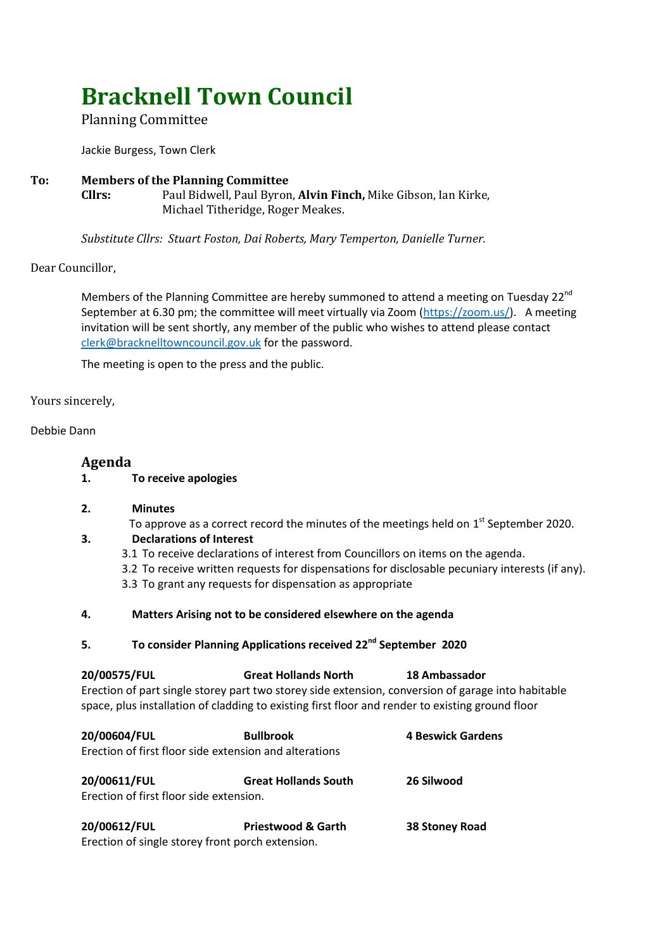# **Bracknell Town Council**

# Planning Committee

Jackie Burgess, Town Clerk

### **To: Members of the Planning Committee Cllrs:** Paul Bidwell, Paul Byron, **Alvin Finch,** Mike Gibson, Ian Kirke,

Michael Titheridge, Roger Meakes.

*Substitute Cllrs: Stuart Foston, Dai Roberts, Mary Temperton, Danielle Turner.*

## Dear Councillor,

Members of the Planning Committee are hereby summoned to attend a meeting on Tuesday 22<sup>nd</sup> September at 6.30 pm; the committee will meet virtually via Zoom [\(https://zoom.us/\)](https://zoom.us/). A meeting invitation will be sent shortly, any member of the public who wishes to attend please contact [clerk@bracknelltowncouncil.gov.uk](mailto:clerk@bracknelltowncouncil.gov.uk) for the password.

The meeting is open to the press and the public.

#### Yours sincerely,

#### Debbie Dann

# **Agenda**

**1. To receive apologies** 

#### **2. Minutes**

To approve as a correct record the minutes of the meetings held on  $1<sup>st</sup>$  September 2020.

# **3. Declarations of Interest**

- 3.1 To receive declarations of interest from Councillors on items on the agenda.
- 3.2 To receive written requests for dispensations for disclosable pecuniary interests (if any).
- 3.3 To grant any requests for dispensation as appropriate

### **4. Matters Arising not to be considered elsewhere on the agenda**

# **5. To consider Planning Applications received 22nd September 2020**

| 20/00575/FUL                                                                                       | <b>Great Hollands North</b> | 18 Ambassador     |  |  |
|----------------------------------------------------------------------------------------------------|-----------------------------|-------------------|--|--|
| Erection of part single storey part two storey side extension, conversion of garage into habitable |                             |                   |  |  |
| space, plus installation of cladding to existing first floor and render to existing ground floor   |                             |                   |  |  |
| 20/00604/FUL                                                                                       | <b>Bullbrook</b>            | 4 Beswick Gardens |  |  |

| LUI UUUUTI I UL                         | DUIIDI UUN                                             | <b>TUCSWICK VALUELIS</b> |
|-----------------------------------------|--------------------------------------------------------|--------------------------|
|                                         | Erection of first floor side extension and alterations |                          |
| 20/00611/FUL                            | <b>Great Hollands South</b>                            | 26 Silwood               |
| Erection of first floor side extension. |                                                        |                          |
|                                         |                                                        |                          |

| 20/00612/FUL                                     | <b>Priestwood &amp; Garth</b> | 38 Stoney Road |
|--------------------------------------------------|-------------------------------|----------------|
| Erection of single storey front porch extension. |                               |                |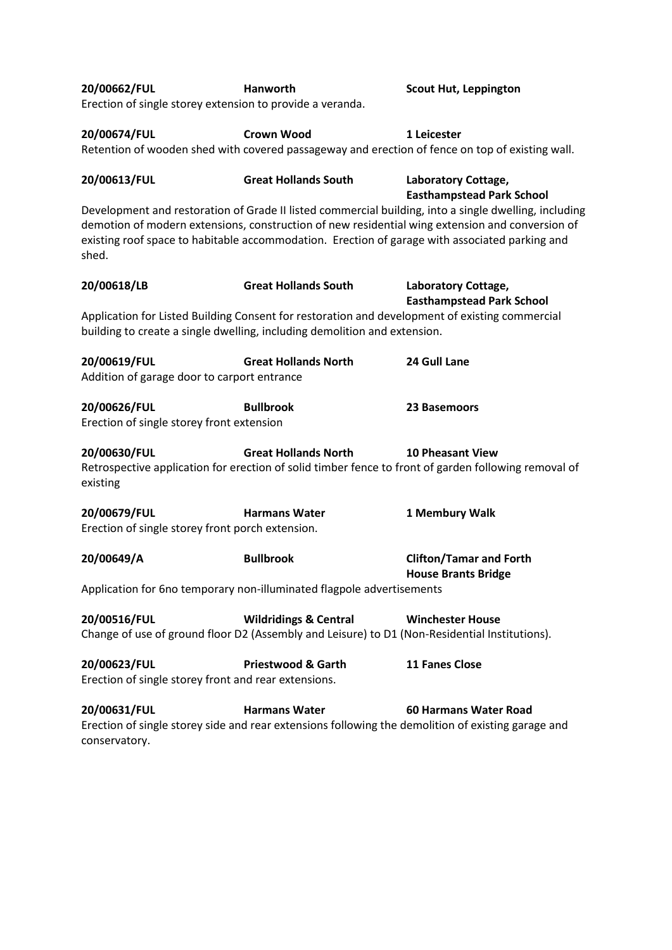| 20/00662/FUL<br>Erection of single storey extension to provide a veranda.                                                                                                                                                                                                                                           | Hanworth                                                                                                                                                                    | <b>Scout Hut, Leppington</b>                                                                                                       |  |
|---------------------------------------------------------------------------------------------------------------------------------------------------------------------------------------------------------------------------------------------------------------------------------------------------------------------|-----------------------------------------------------------------------------------------------------------------------------------------------------------------------------|------------------------------------------------------------------------------------------------------------------------------------|--|
| 20/00674/FUL                                                                                                                                                                                                                                                                                                        | <b>Crown Wood</b>                                                                                                                                                           | 1 Leicester<br>Retention of wooden shed with covered passageway and erection of fence on top of existing wall.                     |  |
| 20/00613/FUL                                                                                                                                                                                                                                                                                                        | <b>Great Hollands South</b>                                                                                                                                                 | Laboratory Cottage,<br><b>Easthampstead Park School</b>                                                                            |  |
| Development and restoration of Grade II listed commercial building, into a single dwelling, including<br>demotion of modern extensions, construction of new residential wing extension and conversion of<br>existing roof space to habitable accommodation. Erection of garage with associated parking and<br>shed. |                                                                                                                                                                             |                                                                                                                                    |  |
| 20/00618/LB                                                                                                                                                                                                                                                                                                         | <b>Great Hollands South</b>                                                                                                                                                 | Laboratory Cottage,<br><b>Easthampstead Park School</b>                                                                            |  |
|                                                                                                                                                                                                                                                                                                                     | Application for Listed Building Consent for restoration and development of existing commercial<br>building to create a single dwelling, including demolition and extension. |                                                                                                                                    |  |
| 20/00619/FUL<br>Addition of garage door to carport entrance                                                                                                                                                                                                                                                         | <b>Great Hollands North</b>                                                                                                                                                 | 24 Gull Lane                                                                                                                       |  |
| 20/00626/FUL<br>Erection of single storey front extension                                                                                                                                                                                                                                                           | <b>Bullbrook</b>                                                                                                                                                            | 23 Basemoors                                                                                                                       |  |
| 20/00630/FUL<br>existing                                                                                                                                                                                                                                                                                            | <b>Great Hollands North</b>                                                                                                                                                 | <b>10 Pheasant View</b><br>Retrospective application for erection of solid timber fence to front of garden following removal of    |  |
| 20/00679/FUL<br>Erection of single storey front porch extension.                                                                                                                                                                                                                                                    | <b>Harmans Water</b>                                                                                                                                                        | 1 Membury Walk                                                                                                                     |  |
| 20/00649/A                                                                                                                                                                                                                                                                                                          | <b>Bullbrook</b>                                                                                                                                                            | <b>Clifton/Tamar and Forth</b><br><b>House Brants Bridge</b>                                                                       |  |
| Application for 6no temporary non-illuminated flagpole advertisements                                                                                                                                                                                                                                               |                                                                                                                                                                             |                                                                                                                                    |  |
| 20/00516/FUL                                                                                                                                                                                                                                                                                                        | <b>Wildridings &amp; Central</b><br>Change of use of ground floor D2 (Assembly and Leisure) to D1 (Non-Residential Institutions).                                           | <b>Winchester House</b>                                                                                                            |  |
| 20/00623/FUL<br>Erection of single storey front and rear extensions.                                                                                                                                                                                                                                                | <b>Priestwood &amp; Garth</b>                                                                                                                                               | <b>11 Fanes Close</b>                                                                                                              |  |
| 20/00631/FUL<br>conservatory.                                                                                                                                                                                                                                                                                       | <b>Harmans Water</b>                                                                                                                                                        | <b>60 Harmans Water Road</b><br>Erection of single storey side and rear extensions following the demolition of existing garage and |  |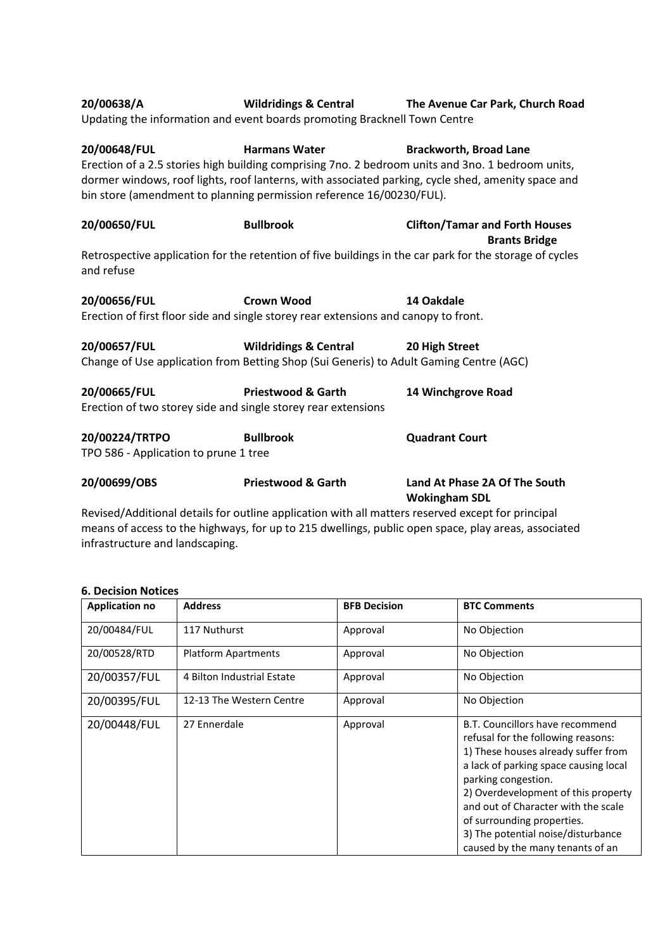| 20/00638/A                                                                                                                                                                                                                                                                                                                                               | Updating the information and event boards promoting Bracknell Town Centre                                | Wildridings & Central The Avenue Car Park, Church Road        |  |  |
|----------------------------------------------------------------------------------------------------------------------------------------------------------------------------------------------------------------------------------------------------------------------------------------------------------------------------------------------------------|----------------------------------------------------------------------------------------------------------|---------------------------------------------------------------|--|--|
| 20/00648/FUL<br><b>Harmans Water</b><br><b>Brackworth, Broad Lane</b><br>Erection of a 2.5 stories high building comprising 7no. 2 bedroom units and 3no. 1 bedroom units,<br>dormer windows, roof lights, roof lanterns, with associated parking, cycle shed, amenity space and<br>bin store (amendment to planning permission reference 16/00230/FUL). |                                                                                                          |                                                               |  |  |
| 20/00650/FUL                                                                                                                                                                                                                                                                                                                                             | <b>Bullbrook</b>                                                                                         | <b>Clifton/Tamar and Forth Houses</b><br><b>Brants Bridge</b> |  |  |
| Retrospective application for the retention of five buildings in the car park for the storage of cycles<br>and refuse                                                                                                                                                                                                                                    |                                                                                                          |                                                               |  |  |
| 20/00656/FUL                                                                                                                                                                                                                                                                                                                                             | <b>Crown Wood</b><br>Erection of first floor side and single storey rear extensions and canopy to front. | 14 Oakdale                                                    |  |  |
|                                                                                                                                                                                                                                                                                                                                                          |                                                                                                          |                                                               |  |  |
| 20/00657/FUL<br><b>Wildridings &amp; Central</b><br>20 High Street<br>Change of Use application from Betting Shop (Sui Generis) to Adult Gaming Centre (AGC)                                                                                                                                                                                             |                                                                                                          |                                                               |  |  |
| 20/00665/FUL<br>Erection of two storey side and single storey rear extensions                                                                                                                                                                                                                                                                            | <b>Priestwood &amp; Garth</b>                                                                            | 14 Winchgrove Road                                            |  |  |
| 20/00224/TRTPO<br>TPO 586 - Application to prune 1 tree                                                                                                                                                                                                                                                                                                  | <b>Bullbrook</b>                                                                                         | <b>Quadrant Court</b>                                         |  |  |
| 20/00699/OBS                                                                                                                                                                                                                                                                                                                                             | <b>Priestwood &amp; Garth</b>                                                                            | Land At Phase 2A Of The South<br><b>Wokingham SDL</b>         |  |  |

Revised/Additional details for outline application with all matters reserved except for principal means of access to the highways, for up to 215 dwellings, public open space, play areas, associated infrastructure and landscaping.

#### **6. Decision Notices**

| <b>Application no</b> | <b>Address</b>             | <b>BFB Decision</b> | <b>BTC Comments</b>                                                                                                                                                                                                                                                                                                                                                |
|-----------------------|----------------------------|---------------------|--------------------------------------------------------------------------------------------------------------------------------------------------------------------------------------------------------------------------------------------------------------------------------------------------------------------------------------------------------------------|
| 20/00484/FUL          | 117 Nuthurst               | Approval            | No Objection                                                                                                                                                                                                                                                                                                                                                       |
| 20/00528/RTD          | <b>Platform Apartments</b> | Approval            | No Objection                                                                                                                                                                                                                                                                                                                                                       |
| 20/00357/FUL          | 4 Bilton Industrial Estate | Approval            | No Objection                                                                                                                                                                                                                                                                                                                                                       |
| 20/00395/FUL          | 12-13 The Western Centre   | Approval            | No Objection                                                                                                                                                                                                                                                                                                                                                       |
| 20/00448/FUL          | 27 Ennerdale               | Approval            | B.T. Councillors have recommend<br>refusal for the following reasons:<br>1) These houses already suffer from<br>a lack of parking space causing local<br>parking congestion.<br>2) Overdevelopment of this property<br>and out of Character with the scale<br>of surrounding properties.<br>3) The potential noise/disturbance<br>caused by the many tenants of an |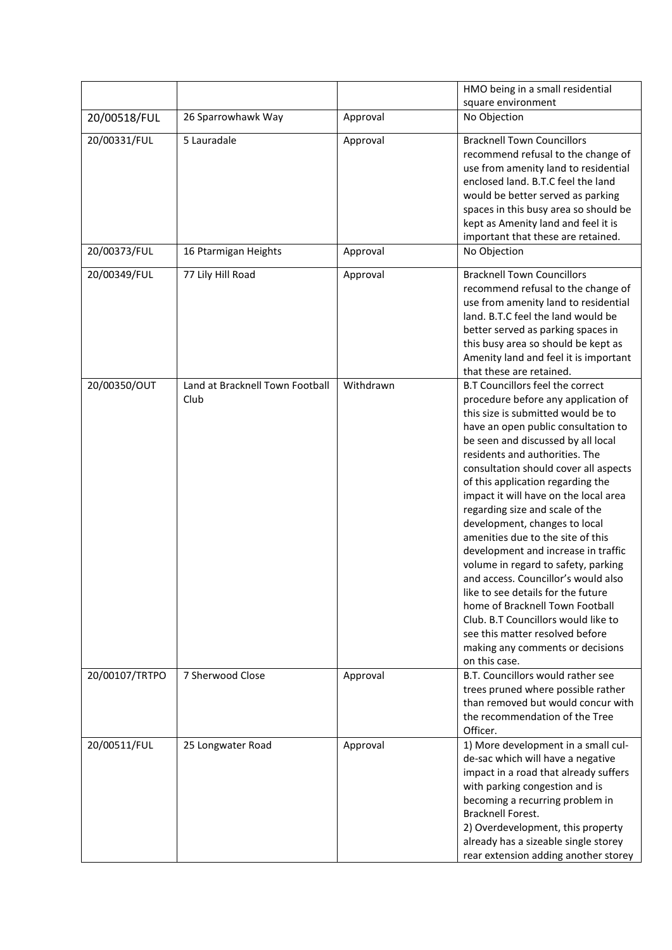|                |                                 |           | HMO being in a small residential        |
|----------------|---------------------------------|-----------|-----------------------------------------|
|                |                                 |           | square environment                      |
| 20/00518/FUL   | 26 Sparrowhawk Way              | Approval  | No Objection                            |
| 20/00331/FUL   | 5 Lauradale                     | Approval  | <b>Bracknell Town Councillors</b>       |
|                |                                 |           | recommend refusal to the change of      |
|                |                                 |           | use from amenity land to residential    |
|                |                                 |           | enclosed land. B.T.C feel the land      |
|                |                                 |           | would be better served as parking       |
|                |                                 |           | spaces in this busy area so should be   |
|                |                                 |           | kept as Amenity land and feel it is     |
|                |                                 |           | important that these are retained.      |
| 20/00373/FUL   | 16 Ptarmigan Heights            | Approval  | No Objection                            |
| 20/00349/FUL   | 77 Lily Hill Road               | Approval  | <b>Bracknell Town Councillors</b>       |
|                |                                 |           | recommend refusal to the change of      |
|                |                                 |           | use from amenity land to residential    |
|                |                                 |           | land. B.T.C feel the land would be      |
|                |                                 |           | better served as parking spaces in      |
|                |                                 |           | this busy area so should be kept as     |
|                |                                 |           | Amenity land and feel it is important   |
|                |                                 |           | that these are retained.                |
| 20/00350/OUT   | Land at Bracknell Town Football | Withdrawn | <b>B.T Councillors feel the correct</b> |
|                | Club                            |           | procedure before any application of     |
|                |                                 |           | this size is submitted would be to      |
|                |                                 |           | have an open public consultation to     |
|                |                                 |           | be seen and discussed by all local      |
|                |                                 |           | residents and authorities. The          |
|                |                                 |           | consultation should cover all aspects   |
|                |                                 |           | of this application regarding the       |
|                |                                 |           | impact it will have on the local area   |
|                |                                 |           | regarding size and scale of the         |
|                |                                 |           | development, changes to local           |
|                |                                 |           | amenities due to the site of this       |
|                |                                 |           | development and increase in traffic     |
|                |                                 |           | volume in regard to safety, parking     |
|                |                                 |           | and access. Councillor's would also     |
|                |                                 |           | like to see details for the future      |
|                |                                 |           | home of Bracknell Town Football         |
|                |                                 |           | Club. B.T Councillors would like to     |
|                |                                 |           | see this matter resolved before         |
|                |                                 |           | making any comments or decisions        |
|                |                                 |           | on this case.                           |
| 20/00107/TRTPO | 7 Sherwood Close                | Approval  | B.T. Councillors would rather see       |
|                |                                 |           | trees pruned where possible rather      |
|                |                                 |           | than removed but would concur with      |
|                |                                 |           | the recommendation of the Tree          |
|                |                                 |           | Officer.                                |
| 20/00511/FUL   | 25 Longwater Road               | Approval  | 1) More development in a small cul-     |
|                |                                 |           | de-sac which will have a negative       |
|                |                                 |           | impact in a road that already suffers   |
|                |                                 |           | with parking congestion and is          |
|                |                                 |           | becoming a recurring problem in         |
|                |                                 |           | <b>Bracknell Forest.</b>                |
|                |                                 |           | 2) Overdevelopment, this property       |
|                |                                 |           | already has a sizeable single storey    |
|                |                                 |           | rear extension adding another storey    |